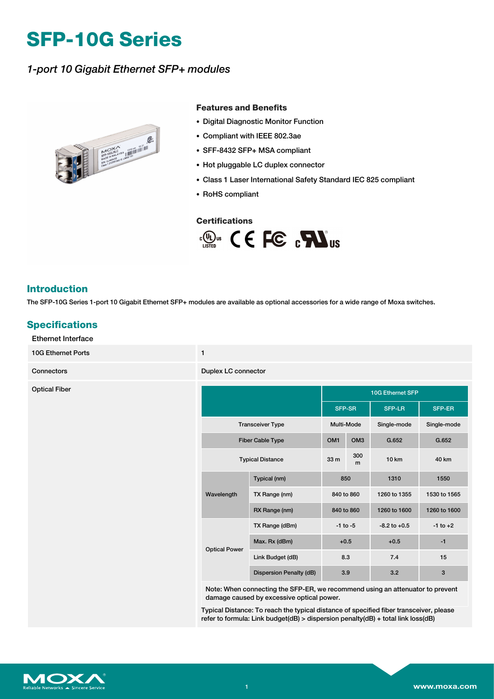# **SFP-10G Series**

## *1-port 10 Gigabit Ethernet SFP+ modules*



#### **Features and Benefits**

- Digital Diagnostic Monitor Function
- Compliant with IEEE 802.3ae
- SFF-8432 SFP+ MSA compliant
- Hot pluggable LC duplex connector
- Class 1 Laser International Safety Standard IEC 825 compliant
- RoHS compliant

#### **Certifications**



### **Introduction**

The SFP-10G Series 1-port 10 Gigabit Ethernet SFP+ modules are available as optional accessories for a wide range of Moxa switches.

## **Specifications**

#### Ethernet Interface

10G Ethernet Ports 1

**Connectors Duplex LC connectors** 

| <b>Optical Fiber</b> |                         |                         | 10G Ethernet SFP |                 |                  |              |
|----------------------|-------------------------|-------------------------|------------------|-----------------|------------------|--------------|
|                      |                         |                         | SFP-SR           |                 | <b>SFP-LR</b>    | SFP-ER       |
|                      | <b>Transceiver Type</b> |                         | Multi-Mode       |                 | Single-mode      | Single-mode  |
|                      | <b>Fiber Cable Type</b> |                         | OM <sub>1</sub>  | OM <sub>3</sub> | G.652            | G.652        |
|                      | <b>Typical Distance</b> |                         | 33 m             | 300<br>m        | 10 km            | 40 km        |
|                      | Wavelength              | Typical (nm)            | 850              |                 | 1310             | 1550         |
|                      |                         | TX Range (nm)           | 840 to 860       |                 | 1260 to 1355     | 1530 to 1565 |
|                      |                         | RX Range (nm)           | 840 to 860       |                 | 1260 to 1600     | 1260 to 1600 |
|                      | <b>Optical Power</b>    | TX Range (dBm)          | $-1$ to $-5$     |                 | $-8.2$ to $+0.5$ | $-1$ to $+2$ |
|                      |                         | Max. Rx (dBm)           | $+0.5$           |                 | $+0.5$           | $-1$         |
|                      |                         | Link Budget (dB)        | 8.3              |                 | 7.4              | 15           |
|                      |                         | Dispersion Penalty (dB) | 3.9              |                 | 3.2              | $\mathbf{3}$ |

Note: When connecting the SFP-ER, we recommend using an attenuator to prevent damage caused by excessive optical power.

Typical Distance: To reach the typical distance of specified fiber transceiver, please refer to formula: Link budget(dB) > dispersion penalty(dB) + total link loss(dB)